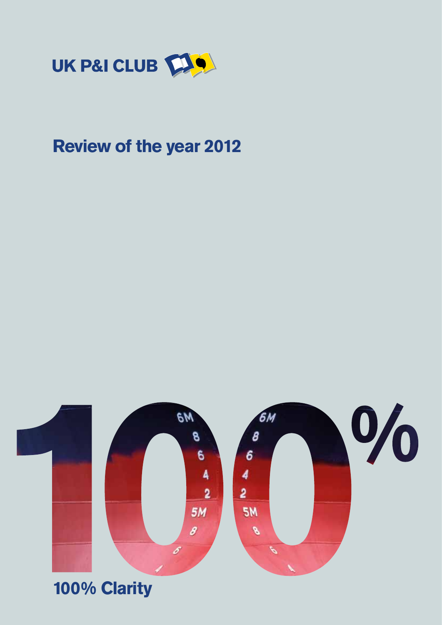

# **Review of the year 2012**



# **100% Clarity**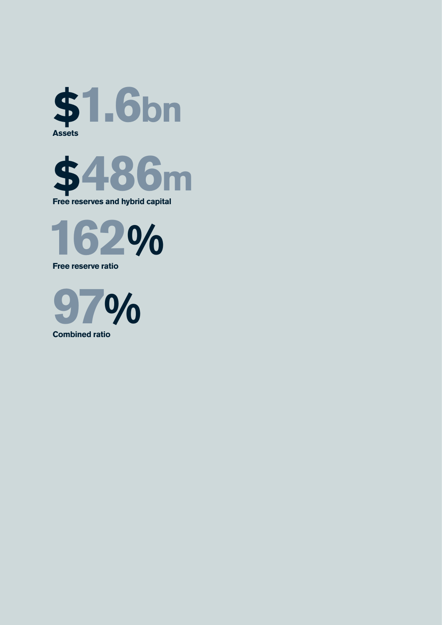





**Free reserve ratio** 



**Combined ratio**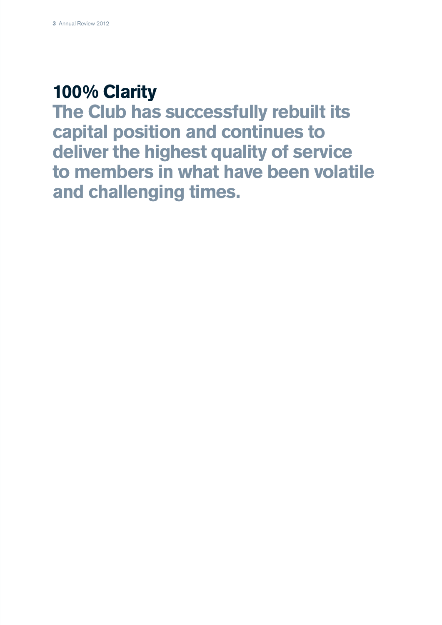# **100% Clarity**

**The Club has successfully rebuilt its capital position and continues to deliver the highest quality of service to members in what have been volatile and challenging times.**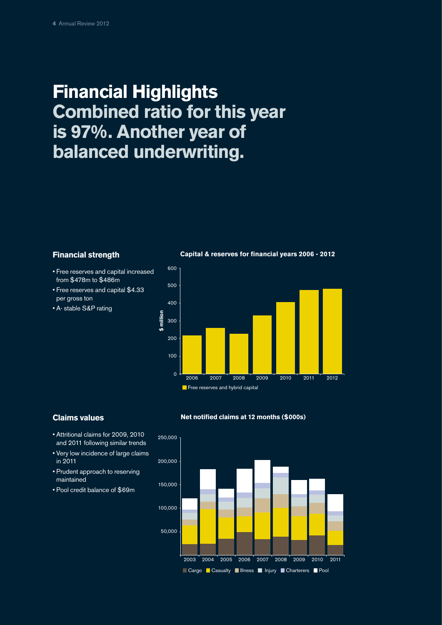# **Financial Highlights Combined ratio for this year is 97%. Another year of balanced underwriting.**

# **Financial strength**

- Free reserves and capital increased from \$478m to \$486m
- Free reserves and capital \$4.33 per gross ton
- A- stable S&P rating

 $\Omega$ 100 200 300 400 500 600 2010 2011 2012 Free reserves and hybrid capital **\$ million**

**Capital & reserves for financial years 2006 - 2012**

## **Claims values**



- Very low incidence of large claims in 2011
- Prudent approach to reserving maintained
- Pool credit balance of \$69m



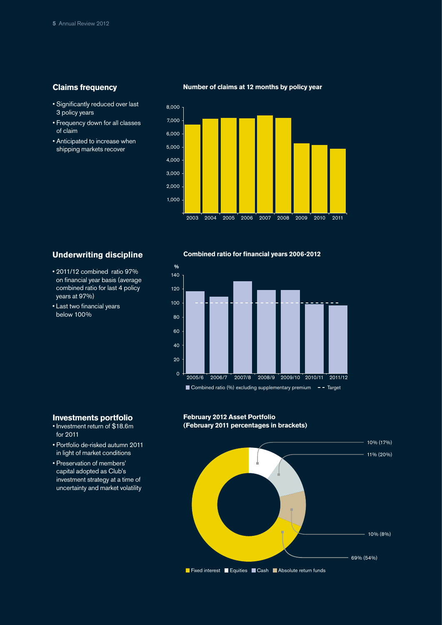# **Claims frequency**

- Significantly reduced over last 3 policy years
- Frequency down for all classes of claim
- Anticipated to increase when shipping markets recover



# **Underwriting discipline**

- 2011/12 combined ratio 97% on financial year basis (average combined ratio for last 4 policy years at 97%)
- Last two financial years below 100%

**Investments portfolio** • Investment return of \$18.6m

• Portfolio de-risked autumn 2011 in light of market conditions • Preservation of members' capital adopted as Club's investment strategy at a time of uncertainty and market volatility

for 2011

#### **Combined ratio for financial years 2006-2012**



### **February 2012 Asset Portfolio (February 2011 percentages in brackets)**



### **Number of claims at 12 months by policy year**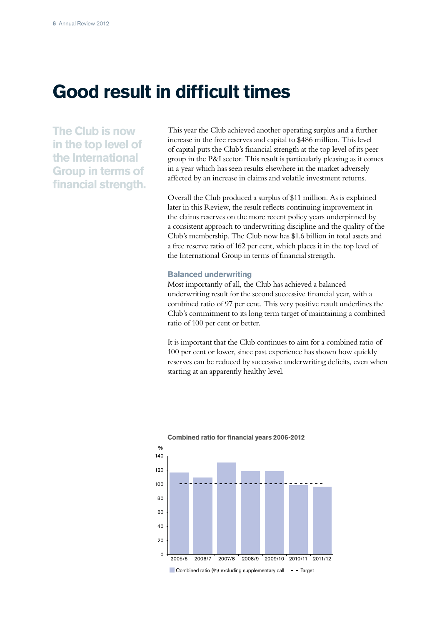# **Good result in difficult times**

**The Club is now in the top level of the International Group in terms of financial strength.** This year the Club achieved another operating surplus and a further increase in the free reserves and capital to \$486 million. This level of capital puts the Club's financial strength at the top level of its peer group in the P&I sector. This result is particularly pleasing as it comes in a year which has seen results elsewhere in the market adversely affected by an increase in claims and volatile investment returns.

Overall the Club produced a surplus of \$11 million. As is explained later in this Review, the result reflects continuing improvement in the claims reserves on the more recent policy years underpinned by a consistent approach to underwriting discipline and the quality of the Club's membership. The Club now has \$1.6 billion in total assets and a free reserve ratio of 162 per cent, which places it in the top level of the International Group in terms of financial strength.

### **Balanced underwriting**

Most importantly of all, the Club has achieved a balanced underwriting result for the second successive financial year, with a combined ratio of 97 per cent. This very positive result underlines the Club's commitment to its long term target of maintaining a combined ratio of 100 per cent or better.

It is important that the Club continues to aim for a combined ratio of 100 per cent or lower, since past experience has shown how quickly reserves can be reduced by successive underwriting deficits, even when starting at an apparently healthy level.



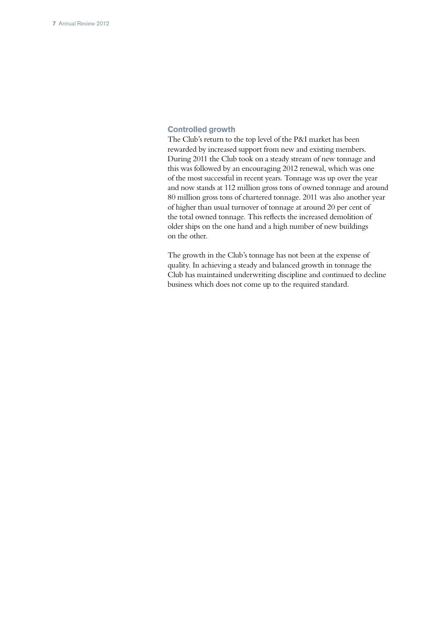# **Controlled growth**

The Club's return to the top level of the P&I market has been rewarded by increased support from new and existing members. During 2011 the Club took on a steady stream of new tonnage and this was followed by an encouraging 2012 renewal, which was one of the most successful in recent years. Tonnage was up over the year and now stands at 112 million gross tons of owned tonnage and around 80 million gross tons of chartered tonnage. 2011 was also another year of higher than usual turnover of tonnage at around 20 per cent of the total owned tonnage. This reflects the increased demolition of older ships on the one hand and a high number of new buildings on the other.

The growth in the Club's tonnage has not been at the expense of quality. In achieving a steady and balanced growth in tonnage the Club has maintained underwriting discipline and continued to decline business which does not come up to the required standard.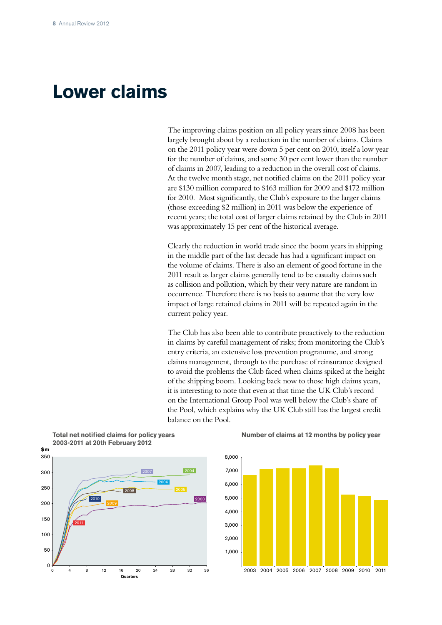# **Lower claims**

The improving claims position on all policy years since 2008 has been largely brought about by a reduction in the number of claims. Claims on the 2011 policy year were down 5 per cent on 2010, itself a low year for the number of claims, and some 30 per cent lower than the number of claims in 2007, leading to a reduction in the overall cost of claims. At the twelve month stage, net notified claims on the 2011 policy year are \$130 million compared to \$163 million for 2009 and \$172 million for 2010. Most significantly, the Club's exposure to the larger claims (those exceeding \$2 million) in 2011 was below the experience of recent years; the total cost of larger claims retained by the Club in 2011 was approximately 15 per cent of the historical average.

Clearly the reduction in world trade since the boom years in shipping in the middle part of the last decade has had a significant impact on the volume of claims. There is also an element of good fortune in the 2011 result as larger claims generally tend to be casualty claims such as collision and pollution, which by their very nature are random in occurrence. Therefore there is no basis to assume that the very low impact of large retained claims in 2011 will be repeated again in the current policy year.

The Club has also been able to contribute proactively to the reduction in claims by careful management of risks; from monitoring the Club's entry criteria, an extensive loss prevention programme, and strong claims management, through to the purchase of reinsurance designed to avoid the problems the Club faced when claims spiked at the height of the shipping boom. Looking back now to those high claims years, it is interesting to note that even at that time the UK Club's record on the International Group Pool was well below the Club's share of the Pool, which explains why the UK Club still has the largest credit balance on the Pool.



**Total net notified claims for policy years** 

#### **Number of claims at 12 months by policy year**

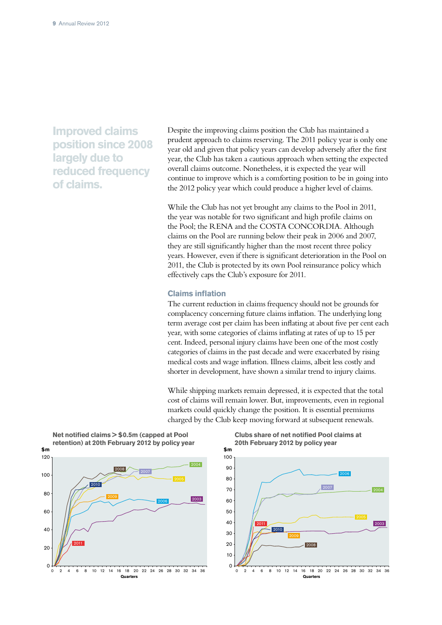**Improved claims position since 2008 largely due to reduced frequency of claims.**

Despite the improving claims position the Club has maintained a prudent approach to claims reserving. The 2011 policy year is only one year old and given that policy years can develop adversely after the first year, the Club has taken a cautious approach when setting the expected overall claims outcome. Nonetheless, it is expected the year will continue to improve which is a comforting position to be in going into the 2012 policy year which could produce a higher level of claims.

While the Club has not yet brought any claims to the Pool in 2011, the year was notable for two significant and high profile claims on the Pool; the RENA and the COSTA CONCORDIA. Although claims on the Pool are running below their peak in 2006 and 2007, they are still significantly higher than the most recent three policy years. However, even if there is significant deterioration in the Pool on 2011, the Club is protected by its own Pool reinsurance policy which effectively caps the Club's exposure for 2011.

### **Claims inflation**

The current reduction in claims frequency should not be grounds for complacency concerning future claims inflation. The underlying long term average cost per claim has been inflating at about five per cent each year, with some categories of claims inflating at rates of up to 15 per cent. Indeed, personal injury claims have been one of the most costly categories of claims in the past decade and were exacerbated by rising medical costs and wage inflation. Illness claims, albeit less costly and shorter in development, have shown a similar trend to injury claims.

While shipping markets remain depressed, it is expected that the total cost of claims will remain lower. But, improvements, even in regional markets could quickly change the position. It is essential premiums charged by the Club keep moving forward at subsequent renewals.



**Clubs share of net notified Pool claims at 20th February 2012 by policy year**

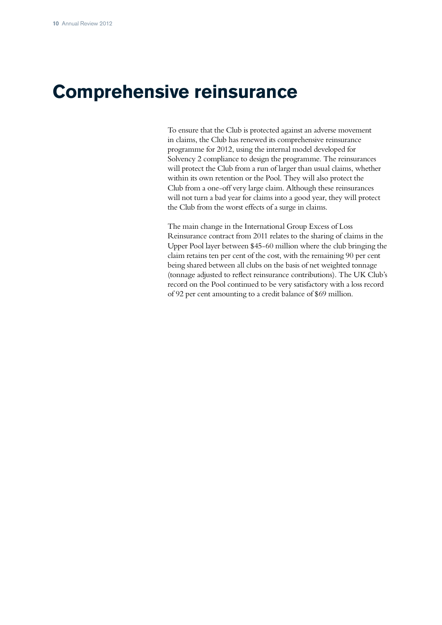# **Comprehensive reinsurance**

To ensure that the Club is protected against an adverse movement in claims, the Club has renewed its comprehensive reinsurance programme for 2012, using the internal model developed for Solvency 2 compliance to design the programme. The reinsurances will protect the Club from a run of larger than usual claims, whether within its own retention or the Pool. They will also protect the Club from a one-off very large claim. Although these reinsurances will not turn a bad year for claims into a good year, they will protect the Club from the worst effects of a surge in claims.

The main change in the International Group Excess of Loss Reinsurance contract from 2011 relates to the sharing of claims in the Upper Pool layer between \$45-60 million where the club bringing the claim retains ten per cent of the cost, with the remaining 90 per cent being shared between all clubs on the basis of net weighted tonnage (tonnage adjusted to reflect reinsurance contributions). The UK Club's record on the Pool continued to be very satisfactory with a loss record of 92 per cent amounting to a credit balance of \$69 million.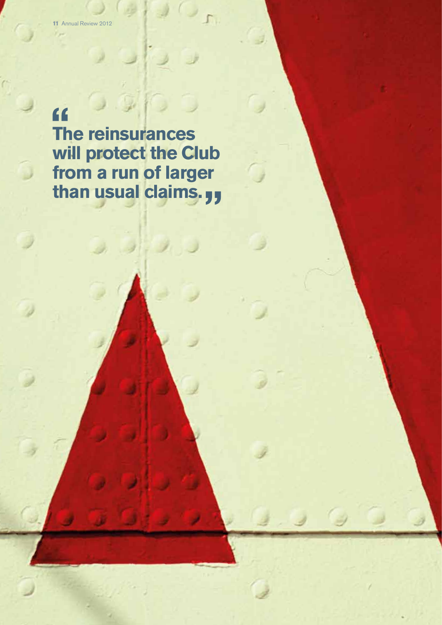" **The reinsurances will protect the Club from a run of larger than usual claims.**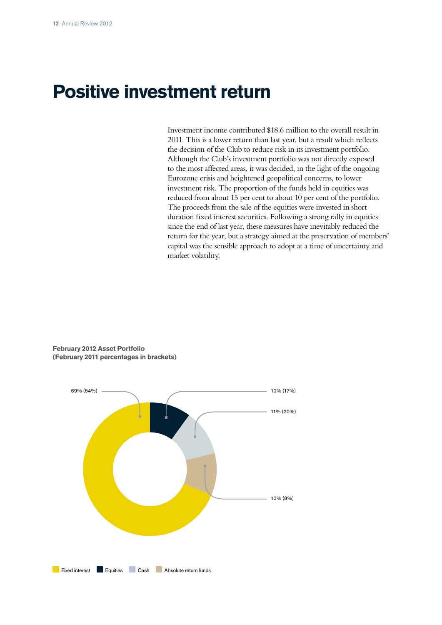# **Positive investment return**

Investment income contributed \$18.6 million to the overall result in 2011. This is a lower return than last year, but a result which reflects the decision of the Club to reduce risk in its investment portfolio. Although the Club's investment portfolio was not directly exposed to the most affected areas, it was decided, in the light of the ongoing Eurozone crisis and heightened geopolitical concerns, to lower investment risk. The proportion of the funds held in equities was reduced from about 15 per cent to about 10 per cent of the portfolio. The proceeds from the sale of the equities were invested in short duration fixed interest securities. Following a strong rally in equities since the end of last year, these measures have inevitably reduced the return for the year, but a strategy aimed at the preservation of members' capital was the sensible approach to adopt at a time of uncertainty and market volatility.



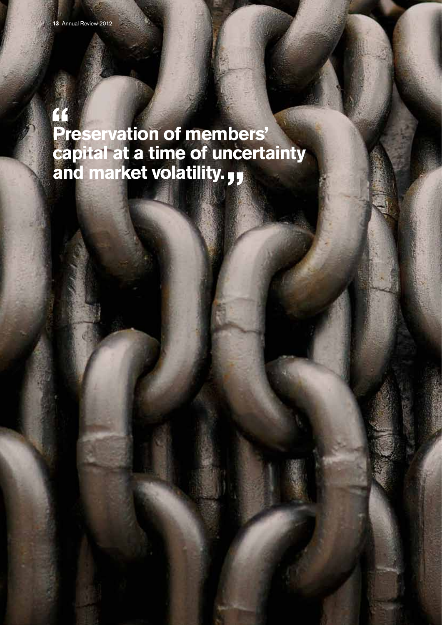**Preservation of members' capital at a time of uncertainty and market volatility.**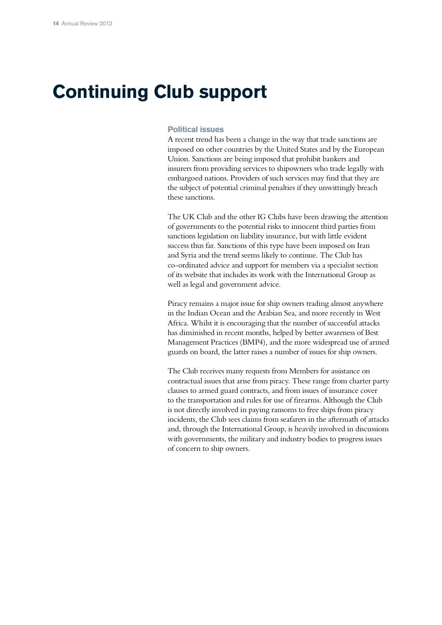# **Continuing Club support**

### **Political issues**

A recent trend has been a change in the way that trade sanctions are imposed on other countries by the United States and by the European Union. Sanctions are being imposed that prohibit bankers and insurers from providing services to shipowners who trade legally with embargoed nations. Providers of such services may find that they are the subject of potential criminal penalties if they unwittingly breach these sanctions.

The UK Club and the other IG Clubs have been drawing the attention of governments to the potential risks to innocent third parties from sanctions legislation on liability insurance, but with little evident success thus far. Sanctions of this type have been imposed on Iran and Syria and the trend seems likely to continue. The Club has co-ordinated advice and support for members via a specialist section of its website that includes its work with the International Group as well as legal and government advice.

Piracy remains a major issue for ship owners trading almost anywhere in the Indian Ocean and the Arabian Sea, and more recently in West Africa. Whilst it is encouraging that the number of successful attacks has diminished in recent months, helped by better awareness of Best Management Practices (BMP4), and the more widespread use of armed guards on board, the latter raises a number of issues for ship owners.

The Club receives many requests from Members for assistance on contractual issues that arise from piracy. These range from charter party clauses to armed guard contracts, and from issues of insurance cover to the transportation and rules for use of firearms. Although the Club is not directly involved in paying ransoms to free ships from piracy incidents, the Club sees claims from seafarers in the aftermath of attacks and, through the International Group, is heavily involved in discussions with governments, the military and industry bodies to progress issues of concern to ship owners.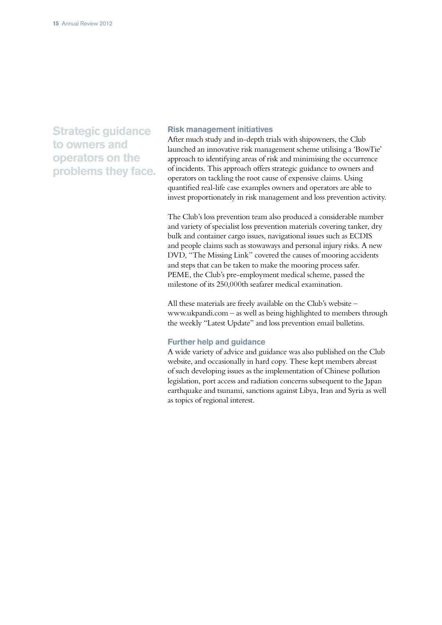**Strategic guidance to owners and operators on the problems they face.**

## **Risk management initiatives**

After much study and in-depth trials with shipowners, the Club launched an innovative risk management scheme utilising a 'BowTie' approach to identifying areas of risk and minimising the occurrence of incidents. This approach offers strategic guidance to owners and operators on tackling the root cause of expensive claims. Using quantified real-life case examples owners and operators are able to invest proportionately in risk management and loss prevention activity.

The Club's loss prevention team also produced a considerable number and variety of specialist loss prevention materials covering tanker, dry bulk and container cargo issues, navigational issues such as ECDIS and people claims such as stowaways and personal injury risks. A new DVD, "The Missing Link" covered the causes of mooring accidents and steps that can be taken to make the mooring process safer. PEME, the Club's pre-employment medical scheme, passed the milestone of its 250,000th seafarer medical examination.

All these materials are freely available on the Club's website – www.ukpandi.com – as well as being highlighted to members through the weekly "Latest Update" and loss prevention email bulletins.

### **Further help and guidance**

A wide variety of advice and guidance was also published on the Club website, and occasionally in hard copy. These kept members abreast of such developing issues as the implementation of Chinese pollution legislation, port access and radiation concerns subsequent to the Japan earthquake and tsunami, sanctions against Libya, Iran and Syria as well as topics of regional interest.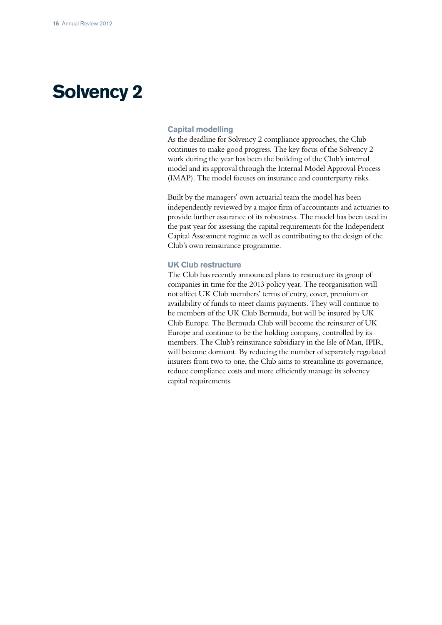# **Solvency 2**

## **Capital modelling**

As the deadline for Solvency 2 compliance approaches, the Club continues to make good progress. The key focus of the Solvency 2 work during the year has been the building of the Club's internal model and its approval through the Internal Model Approval Process (IMAP). The model focuses on insurance and counterparty risks.

Built by the managers' own actuarial team the model has been independently reviewed by a major firm of accountants and actuaries to provide further assurance of its robustness. The model has been used in the past year for assessing the capital requirements for the Independent Capital Assessment regime as well as contributing to the design of the Club's own reinsurance programme.

### **UK Club restructure**

The Club has recently announced plans to restructure its group of companies in time for the 2013 policy year. The reorganisation will not affect UK Club members' terms of entry, cover, premium or availability of funds to meet claims payments. They will continue to be members of the UK Club Bermuda, but will be insured by UK Club Europe. The Bermuda Club will become the reinsurer of UK Europe and continue to be the holding company, controlled by its members. The Club's reinsurance subsidiary in the Isle of Man, IPIR, will become dormant. By reducing the number of separately regulated insurers from two to one, the Club aims to streamline its governance, reduce compliance costs and more efficiently manage its solvency capital requirements.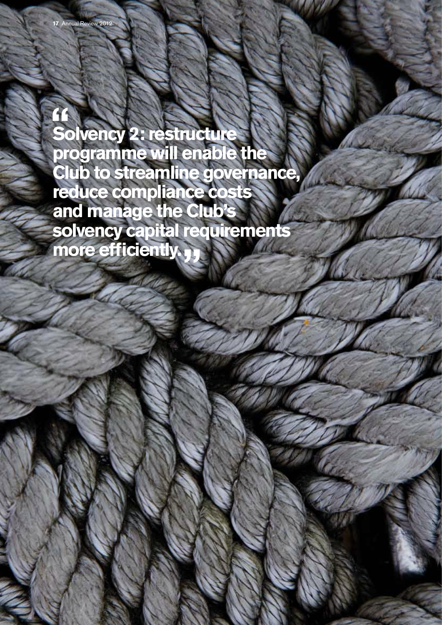$\mathbf{1}$ **Solvency 2: restructure programme will enable the Club to streamline governance, reduce compliance costs and manage the Club's solvency capital requirements more efficiently.**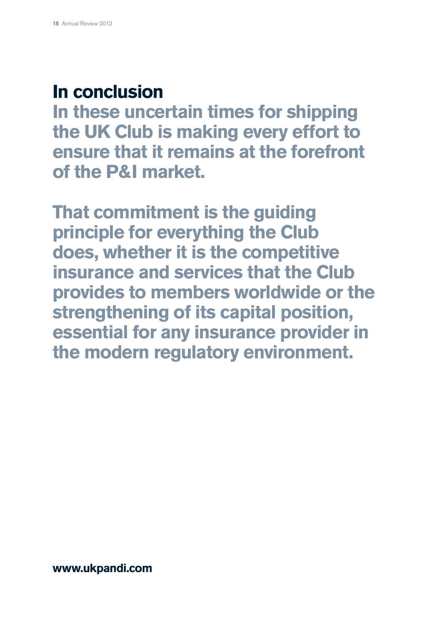# **In conclusion**

**In these uncertain times for shipping the UK Club is making every effort to ensure that it remains at the forefront of the P&I market.**

**That commitment is the guiding principle for everything the Club does, whether it is the competitive insurance and services that the Club provides to members worldwide or the strengthening of its capital position, essential for any insurance provider in the modern regulatory environment.**

**www.ukpandi.com**